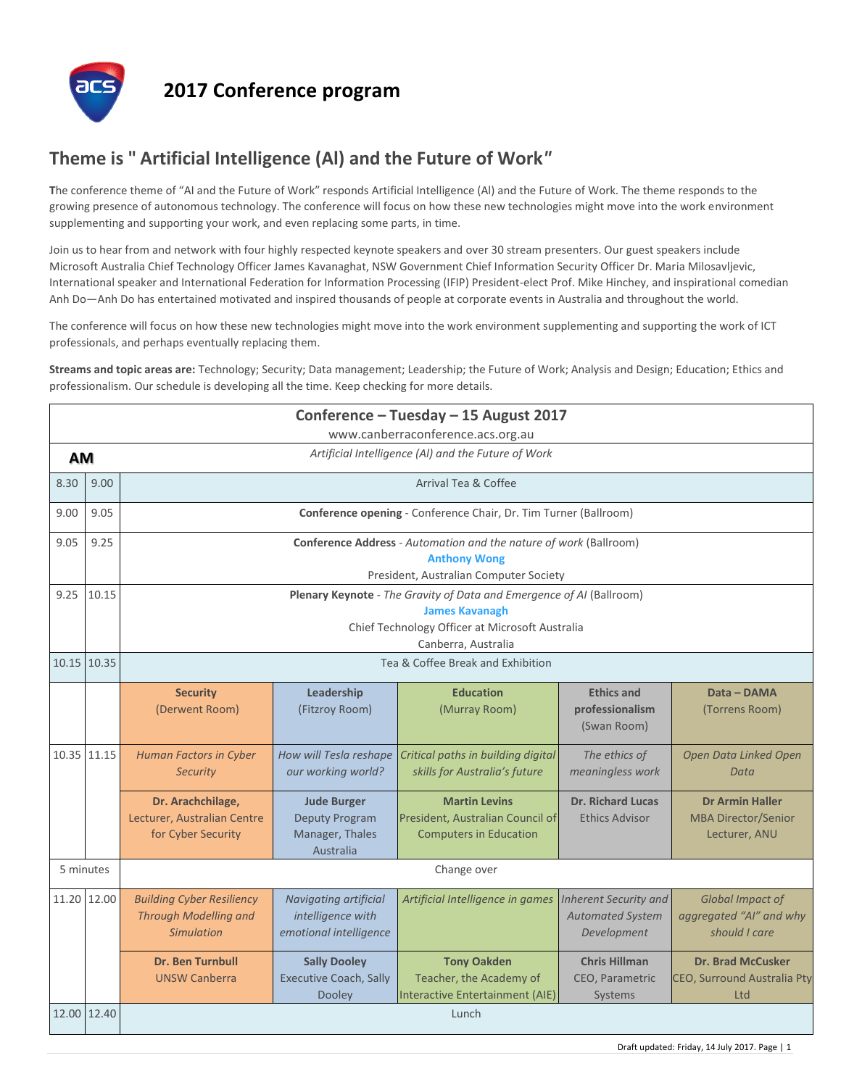

## **2017 Conference program**

## **Theme is " Artificial Intelligence (Al) and the Future of Work***"*

**T**he conference theme of "AI and the Future of Work" responds Artificial Intelligence (Al) and the Future of Work. The theme responds to the growing presence of autonomous technology. The conference will focus on how these new technologies might move into the work environment supplementing and supporting your work, and even replacing some parts, in time.

Join us to hear from and network with four highly respected keynote speakers and over 30 stream presenters. Our guest speakers include Microsoft Australia Chief Technology Officer James Kavanaghat, NSW Government Chief Information Security Officer Dr. Maria Milosavljevic, International speaker and International Federation for Information Processing (IFIP) President-elect Prof. Mike Hinchey, and inspirational comedian Anh Do—Anh Do has entertained motivated and inspired thousands of people at corporate events in Australia and throughout the world.

The conference will focus on how these new technologies might move into the work environment supplementing and supporting the work of ICT professionals, and perhaps eventually replacing them.

**Streams and topic areas are:** Technology; Security; Data management; Leadership; the Future of Work; Analysis and Design; Education; Ethics and professionalism. Our schedule is developing all the time. Keep checking for more details.

| Conference - Tuesday - 15 August 2017<br>www.canberraconference.acs.org.au |             |                                                                                                                                                                         |                                                                             |                                                                                           |                                                                        |                                                                       |  |  |  |  |
|----------------------------------------------------------------------------|-------------|-------------------------------------------------------------------------------------------------------------------------------------------------------------------------|-----------------------------------------------------------------------------|-------------------------------------------------------------------------------------------|------------------------------------------------------------------------|-----------------------------------------------------------------------|--|--|--|--|
| Artificial Intelligence (AI) and the Future of Work<br><b>AM</b>           |             |                                                                                                                                                                         |                                                                             |                                                                                           |                                                                        |                                                                       |  |  |  |  |
| 8.30                                                                       | 9.00        | Arrival Tea & Coffee                                                                                                                                                    |                                                                             |                                                                                           |                                                                        |                                                                       |  |  |  |  |
| 9.00                                                                       | 9.05        | Conference opening - Conference Chair, Dr. Tim Turner (Ballroom)                                                                                                        |                                                                             |                                                                                           |                                                                        |                                                                       |  |  |  |  |
| 9.05                                                                       | 9.25        | <b>Conference Address</b> - Automation and the nature of work (Ballroom)<br><b>Anthony Wong</b><br>President, Australian Computer Society                               |                                                                             |                                                                                           |                                                                        |                                                                       |  |  |  |  |
| 9.25                                                                       | 10.15       | Plenary Keynote - The Gravity of Data and Emergence of AI (Ballroom)<br><b>James Kavanagh</b><br>Chief Technology Officer at Microsoft Australia<br>Canberra, Australia |                                                                             |                                                                                           |                                                                        |                                                                       |  |  |  |  |
|                                                                            | 10.15 10.35 | Tea & Coffee Break and Exhibition                                                                                                                                       |                                                                             |                                                                                           |                                                                        |                                                                       |  |  |  |  |
|                                                                            |             | <b>Security</b><br>(Derwent Room)                                                                                                                                       | Leadership<br>(Fitzroy Room)                                                | <b>Education</b><br>(Murray Room)                                                         | <b>Ethics and</b><br>professionalism<br>(Swan Room)                    | Data - DAMA<br>(Torrens Room)                                         |  |  |  |  |
|                                                                            | 10.35 11.15 | <b>Human Factors in Cyber</b><br><b>Security</b>                                                                                                                        | How will Tesla reshape<br>our working world?                                | Critical paths in building digital<br>skills for Australia's future                       | The ethics of<br>meaningless work                                      | Open Data Linked Open<br>Data                                         |  |  |  |  |
|                                                                            |             | Dr. Arachchilage,<br>Lecturer, Australian Centre<br>for Cyber Security                                                                                                  | <b>Jude Burger</b><br><b>Deputy Program</b><br>Manager, Thales<br>Australia | <b>Martin Levins</b><br>President, Australian Council of<br><b>Computers in Education</b> | <b>Dr. Richard Lucas</b><br><b>Ethics Advisor</b>                      | <b>Dr Armin Haller</b><br><b>MBA Director/Senior</b><br>Lecturer, ANU |  |  |  |  |
| 5 minutes                                                                  |             | Change over                                                                                                                                                             |                                                                             |                                                                                           |                                                                        |                                                                       |  |  |  |  |
|                                                                            | 11.20 12.00 | <b>Building Cyber Resiliency</b><br>Through Modelling and<br><b>Simulation</b>                                                                                          | Navigating artificial<br>intelligence with<br>emotional intelligence        | Artificial Intelligence in games                                                          | <b>Inherent Security and</b><br><b>Automated System</b><br>Development | Global Impact of<br>aggregated "AI" and why<br>should I care          |  |  |  |  |
|                                                                            |             | <b>Dr. Ben Turnbull</b><br><b>UNSW Canberra</b>                                                                                                                         | <b>Sally Dooley</b><br><b>Executive Coach, Sally</b><br><b>Dooley</b>       | <b>Tony Oakden</b><br>Teacher, the Academy of<br><b>Interactive Entertainment (AIE)</b>   | <b>Chris Hillman</b><br><b>CEO, Parametric</b><br>Systems              | <b>Dr. Brad McCusker</b><br><b>CEO, Surround Australia Pty</b><br>Ltd |  |  |  |  |
|                                                                            | 12.00 12.40 |                                                                                                                                                                         |                                                                             | Lunch                                                                                     |                                                                        |                                                                       |  |  |  |  |